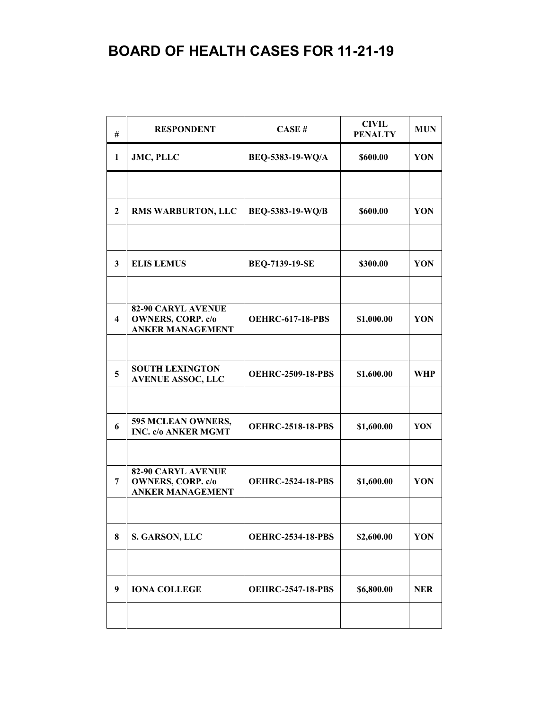| #                       | <b>RESPONDENT</b>                                                                | CASE#                    | <b>CIVIL</b><br><b>PENALTY</b> | <b>MUN</b> |
|-------------------------|----------------------------------------------------------------------------------|--------------------------|--------------------------------|------------|
| 1                       | JMC, PLLC                                                                        | BEQ-5383-19-WQ/A         | \$600.00                       | YON        |
|                         |                                                                                  |                          |                                |            |
| $\mathbf{2}$            | <b>RMS WARBURTON, LLC</b>                                                        | BEQ-5383-19-WQ/B         | \$600.00                       | YON        |
|                         |                                                                                  |                          |                                |            |
| 3                       | <b>ELIS LEMUS</b>                                                                | <b>BEQ-7139-19-SE</b>    | \$300.00                       | YON        |
|                         |                                                                                  |                          |                                |            |
| $\overline{\mathbf{4}}$ | <b>82-90 CARYL AVENUE</b><br><b>OWNERS, CORP. c/o</b><br><b>ANKER MANAGEMENT</b> | <b>OEHRC-617-18-PBS</b>  | \$1,000.00                     | YON        |
|                         |                                                                                  |                          |                                |            |
| 5                       | <b>SOUTH LEXINGTON</b><br><b>AVENUE ASSOC, LLC</b>                               | <b>OEHRC-2509-18-PBS</b> | \$1,600.00                     | <b>WHP</b> |
|                         |                                                                                  |                          |                                |            |
| 6                       | 595 MCLEAN OWNERS,<br><b>INC. c/o ANKER MGMT</b>                                 | <b>OEHRC-2518-18-PBS</b> | \$1,600.00                     | YON        |
|                         |                                                                                  |                          |                                |            |
| 7                       | <b>82-90 CARYL AVENUE</b><br><b>OWNERS, CORP. c/o</b><br><b>ANKER MANAGEMENT</b> | <b>OEHRC-2524-18-PBS</b> | \$1,600.00                     | YON        |
|                         |                                                                                  |                          |                                |            |
| 8                       | S. GARSON, LLC                                                                   | <b>OEHRC-2534-18-PBS</b> | \$2,600.00                     | YON        |
|                         |                                                                                  |                          |                                |            |
| 9                       | <b>IONA COLLEGE</b>                                                              | <b>OEHRC-2547-18-PBS</b> | \$6,800.00                     | <b>NER</b> |
|                         |                                                                                  |                          |                                |            |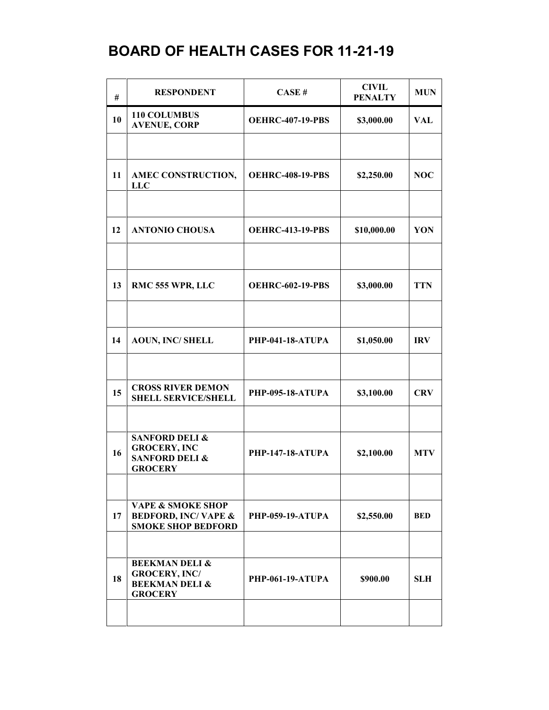| #  | <b>RESPONDENT</b>                                                                                | CASE#                   | <b>CIVIL</b><br><b>PENALTY</b> | <b>MUN</b> |
|----|--------------------------------------------------------------------------------------------------|-------------------------|--------------------------------|------------|
| 10 | 110 COLUMBUS<br><b>AVENUE, CORP</b>                                                              | <b>OEHRC-407-19-PBS</b> | \$3,000.00                     | <b>VAL</b> |
|    |                                                                                                  |                         |                                |            |
| 11 | AMEC CONSTRUCTION,<br><b>LLC</b>                                                                 | <b>OEHRC-408-19-PBS</b> | \$2,250.00                     | <b>NOC</b> |
|    |                                                                                                  |                         |                                |            |
| 12 | <b>ANTONIO CHOUSA</b>                                                                            | <b>OEHRC-413-19-PBS</b> | \$10,000.00                    | YON        |
|    |                                                                                                  |                         |                                |            |
| 13 | RMC 555 WPR, LLC                                                                                 | <b>OEHRC-602-19-PBS</b> | \$3,000.00                     | <b>TTN</b> |
|    |                                                                                                  |                         |                                |            |
| 14 | <b>AOUN, INC/SHELL</b>                                                                           | PHP-041-18-ATUPA        | \$1,050.00                     | <b>IRV</b> |
|    | <b>CROSS RIVER DEMON</b>                                                                         |                         |                                |            |
| 15 | <b>SHELL SERVICE/SHELL</b>                                                                       | <b>PHP-095-18-ATUPA</b> | \$3,100.00                     | <b>CRV</b> |
|    | <b>SANFORD DELI &amp;</b>                                                                        |                         |                                |            |
| 16 | <b>GROCERY, INC</b><br><b>SANFORD DELI &amp;</b><br><b>GROCERY</b>                               | <b>PHP-147-18-ATUPA</b> | \$2,100.00                     | <b>MTV</b> |
|    |                                                                                                  |                         |                                |            |
| 17 | <b>VAPE &amp; SMOKE SHOP</b><br><b>BEDFORD, INC/VAPE &amp;</b><br><b>SMOKE SHOP BEDFORD</b>      | <b>PHP-059-19-ATUPA</b> | \$2,550.00                     | <b>BED</b> |
|    |                                                                                                  |                         |                                |            |
| 18 | <b>BEEKMAN DELI &amp;</b><br><b>GROCERY, INC/</b><br><b>BEEKMAN DELI &amp;</b><br><b>GROCERY</b> | <b>PHP-061-19-ATUPA</b> | \$900.00                       | <b>SLH</b> |
|    |                                                                                                  |                         |                                |            |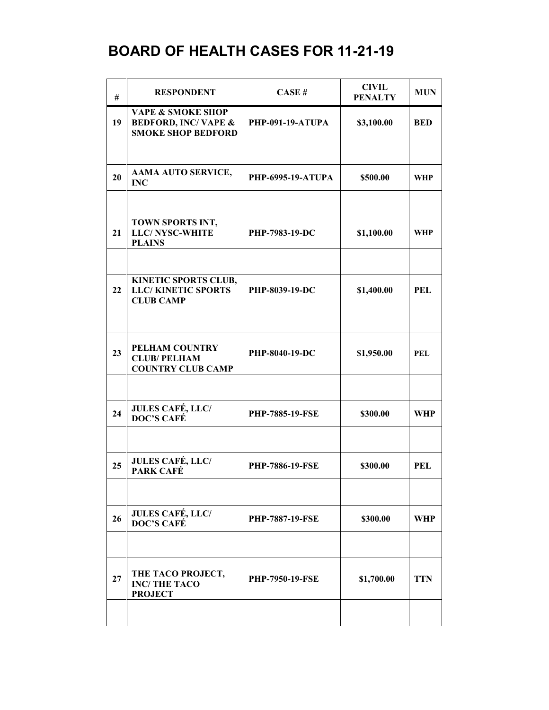| #  | <b>RESPONDENT</b>                                                                           | CASE#                    | <b>CIVIL</b><br><b>PENALTY</b> | <b>MUN</b> |
|----|---------------------------------------------------------------------------------------------|--------------------------|--------------------------------|------------|
| 19 | <b>VAPE &amp; SMOKE SHOP</b><br><b>BEDFORD, INC/VAPE &amp;</b><br><b>SMOKE SHOP BEDFORD</b> | <b>PHP-091-19-ATUPA</b>  | \$3,100.00                     | <b>BED</b> |
|    |                                                                                             |                          |                                |            |
| 20 | AAMA AUTO SERVICE,<br><b>INC</b>                                                            | <b>PHP-6995-19-ATUPA</b> | \$500.00                       | <b>WHP</b> |
|    |                                                                                             |                          |                                |            |
| 21 | TOWN SPORTS INT,<br><b>LLC/ NYSC-WHITE</b><br><b>PLAINS</b>                                 | PHP-7983-19-DC           | \$1,100.00                     | <b>WHP</b> |
|    |                                                                                             |                          |                                |            |
| 22 | KINETIC SPORTS CLUB,<br><b>LLC/KINETIC SPORTS</b><br><b>CLUB CAMP</b>                       | PHP-8039-19-DC           | \$1,400.00                     | <b>PEL</b> |
|    |                                                                                             |                          |                                |            |
| 23 | PELHAM COUNTRY<br><b>CLUB/ PELHAM</b><br><b>COUNTRY CLUB CAMP</b>                           | PHP-8040-19-DC           | \$1,950.00                     | <b>PEL</b> |
|    |                                                                                             |                          |                                |            |
| 24 | <b>JULES CAFÉ, LLC/</b><br><b>DOC'S CAFÉ</b>                                                | <b>PHP-7885-19-FSE</b>   | \$300.00                       | <b>WHP</b> |
|    |                                                                                             |                          |                                |            |
| 25 | <b>JULES CAFÉ, LLC/</b><br>PARK CAFÉ                                                        | <b>PHP-7886-19-FSE</b>   | \$300.00                       | <b>PEL</b> |
|    |                                                                                             |                          |                                |            |
| 26 | <b>JULES CAFÉ, LLC/</b><br><b>DOC'S CAFÉ</b>                                                | <b>PHP-7887-19-FSE</b>   | \$300.00                       | WHP        |
|    |                                                                                             |                          |                                |            |
| 27 | THE TACO PROJECT,<br><b>INC/THE TACO</b><br><b>PROJECT</b>                                  | <b>PHP-7950-19-FSE</b>   | \$1,700.00                     | <b>TTN</b> |
|    |                                                                                             |                          |                                |            |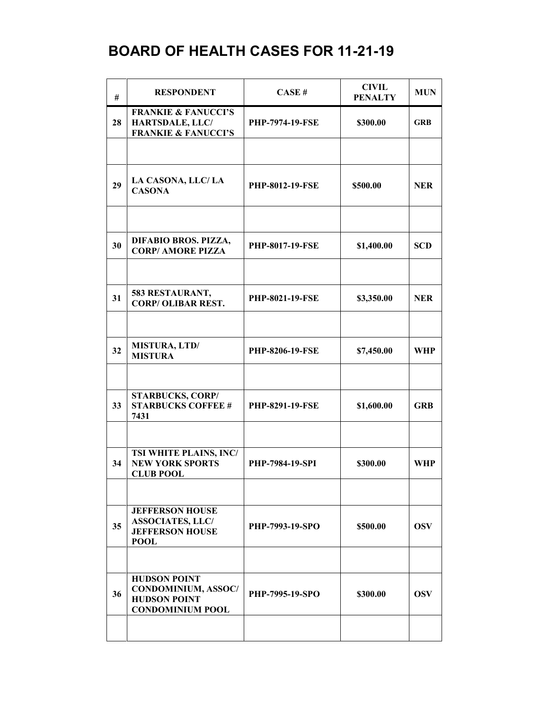| #  | <b>RESPONDENT</b>                                                                            | CASE#                  | <b>CIVIL</b><br><b>PENALTY</b> | <b>MUN</b> |
|----|----------------------------------------------------------------------------------------------|------------------------|--------------------------------|------------|
| 28 | <b>FRANKIE &amp; FANUCCI'S</b><br>HARTSDALE, LLC/<br><b>FRANKIE &amp; FANUCCI'S</b>          | <b>PHP-7974-19-FSE</b> | \$300.00                       | <b>GRB</b> |
|    |                                                                                              |                        |                                |            |
| 29 | LA CASONA, LLC/ LA<br><b>CASONA</b>                                                          | <b>PHP-8012-19-FSE</b> | \$500.00                       | <b>NER</b> |
|    |                                                                                              |                        |                                |            |
| 30 | DIFABIO BROS. PIZZA,<br><b>CORP/ AMORE PIZZA</b>                                             | <b>PHP-8017-19-FSE</b> | \$1,400.00                     | <b>SCD</b> |
|    |                                                                                              |                        |                                |            |
| 31 | 583 RESTAURANT,<br><b>CORP/ OLIBAR REST.</b>                                                 | <b>PHP-8021-19-FSE</b> | \$3,350.00                     | <b>NER</b> |
|    |                                                                                              |                        |                                |            |
| 32 | <b>MISTURA, LTD/</b><br><b>MISTURA</b>                                                       | <b>PHP-8206-19-FSE</b> | \$7,450.00                     | <b>WHP</b> |
|    |                                                                                              |                        |                                |            |
| 33 | <b>STARBUCKS, CORP/</b><br><b>STARBUCKS COFFEE #</b><br>7431                                 | <b>PHP-8291-19-FSE</b> | \$1,600.00                     | <b>GRB</b> |
|    |                                                                                              |                        |                                |            |
| 34 | <b>TSI WHITE PLAINS, INC/</b><br><b>NEW YORK SPORTS</b><br><b>CLUB POOL</b>                  | PHP-7984-19-SPI        | \$300.00                       | <b>WHP</b> |
|    |                                                                                              |                        |                                |            |
| 35 | <b>JEFFERSON HOUSE</b><br><b>ASSOCIATES, LLC/</b><br><b>JEFFERSON HOUSE</b><br><b>POOL</b>   | PHP-7993-19-SPO        | \$500.00                       | <b>OSV</b> |
|    |                                                                                              |                        |                                |            |
| 36 | <b>HUDSON POINT</b><br>CONDOMINIUM, ASSOC/<br><b>HUDSON POINT</b><br><b>CONDOMINIUM POOL</b> | PHP-7995-19-SPO        | \$300.00                       | <b>OSV</b> |
|    |                                                                                              |                        |                                |            |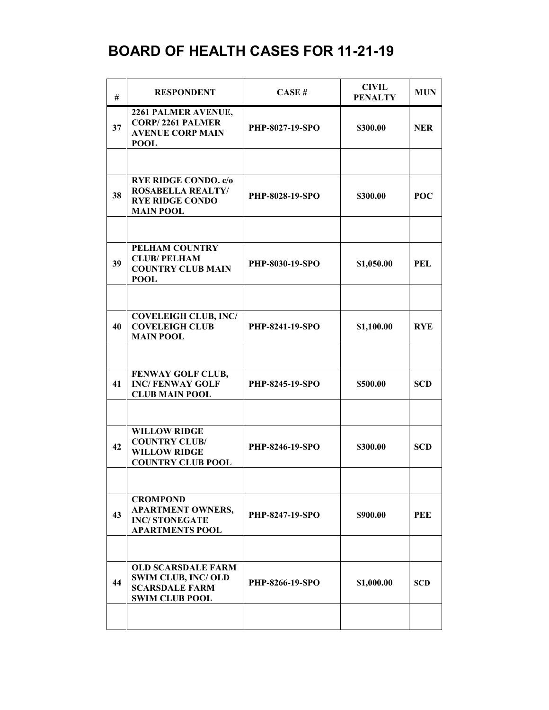| #  | <b>RESPONDENT</b>                                                                                        | CASE#                  | <b>CIVIL</b><br><b>PENALTY</b> | <b>MUN</b> |
|----|----------------------------------------------------------------------------------------------------------|------------------------|--------------------------------|------------|
| 37 | 2261 PALMER AVENUE,<br><b>CORP/2261 PALMER</b><br><b>AVENUE CORP MAIN</b><br><b>POOL</b>                 | PHP-8027-19-SPO        | \$300.00                       | <b>NER</b> |
|    |                                                                                                          |                        |                                |            |
| 38 | <b>RYE RIDGE CONDO.</b> c/o<br><b>ROSABELLA REALTY/</b><br><b>RYE RIDGE CONDO</b><br><b>MAIN POOL</b>    | <b>PHP-8028-19-SPO</b> | \$300.00                       | <b>POC</b> |
|    |                                                                                                          |                        |                                |            |
| 39 | PELHAM COUNTRY<br><b>CLUB/ PELHAM</b><br><b>COUNTRY CLUB MAIN</b><br><b>POOL</b>                         | PHP-8030-19-SPO        | \$1,050.00                     | <b>PEL</b> |
|    |                                                                                                          |                        |                                |            |
| 40 | <b>COVELEIGH CLUB, INC/</b><br><b>COVELEIGH CLUB</b><br><b>MAIN POOL</b>                                 | <b>PHP-8241-19-SPO</b> | \$1,100.00                     | <b>RYE</b> |
|    |                                                                                                          |                        |                                |            |
| 41 | FENWAY GOLF CLUB,<br><b>INC/FENWAY GOLF</b><br><b>CLUB MAIN POOL</b>                                     | <b>PHP-8245-19-SPO</b> | \$500.00                       | <b>SCD</b> |
|    |                                                                                                          |                        |                                |            |
| 42 | <b>WILLOW RIDGE</b><br><b>COUNTRY CLUB/</b><br><b>WILLOW RIDGE</b><br><b>COUNTRY CLUB POOL</b>           | PHP-8246-19-SPO        | \$300.00                       | <b>SCD</b> |
|    |                                                                                                          |                        |                                |            |
| 43 | <b>CROMPOND</b><br><b>APARTMENT OWNERS,</b><br><b>INC/STONEGATE</b><br><b>APARTMENTS POOL</b>            | PHP-8247-19-SPO        | \$900.00                       | PEE        |
|    |                                                                                                          |                        |                                |            |
| 44 | <b>OLD SCARSDALE FARM</b><br><b>SWIM CLUB, INC/OLD</b><br><b>SCARSDALE FARM</b><br><b>SWIM CLUB POOL</b> | <b>PHP-8266-19-SPO</b> | \$1,000.00                     | <b>SCD</b> |
|    |                                                                                                          |                        |                                |            |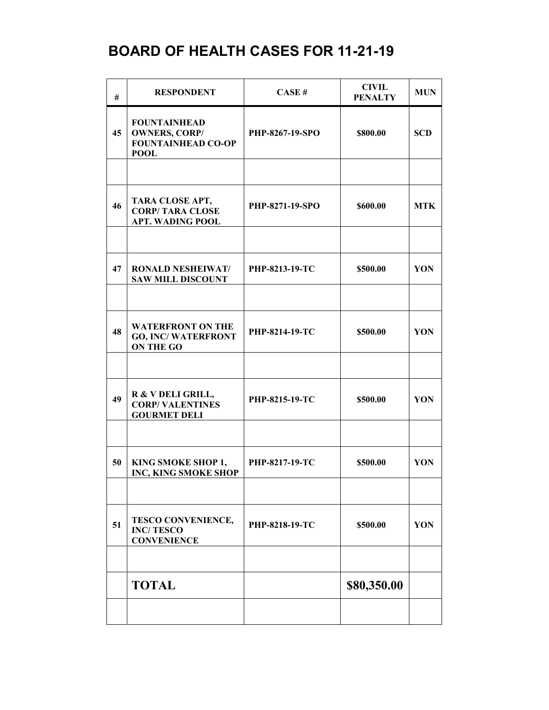| #  | <b>RESPONDENT</b>                                                                       | CASE#           | <b>CIVIL</b><br><b>PENALTY</b> | <b>MUN</b> |
|----|-----------------------------------------------------------------------------------------|-----------------|--------------------------------|------------|
| 45 | <b>FOUNTAINHEAD</b><br><b>OWNERS, CORP/</b><br><b>FOUNTAINHEAD CO-OP</b><br><b>POOL</b> | PHP-8267-19-SPO | \$800.00                       | <b>SCD</b> |
|    |                                                                                         |                 |                                |            |
| 46 | TARA CLOSE APT,<br><b>CORP/TARA CLOSE</b><br><b>APT. WADING POOL</b>                    | PHP-8271-19-SPO | \$600.00                       | <b>MTK</b> |
|    |                                                                                         |                 |                                |            |
| 47 | <b>RONALD NESHEIWAT/</b><br><b>SAW MILL DISCOUNT</b>                                    | PHP-8213-19-TC  | \$500.00                       | YON        |
|    |                                                                                         |                 |                                |            |
| 48 | <b>WATERFRONT ON THE</b><br><b>GO, INC/WATERFRONT</b><br><b>ON THE GO</b>               | PHP-8214-19-TC  | \$500.00                       | YON        |
|    |                                                                                         |                 |                                |            |
| 49 | R & V DELI GRILL,<br><b>CORP/VALENTINES</b><br><b>GOURMET DELI</b>                      | PHP-8215-19-TC  | \$500.00                       | YON        |
|    |                                                                                         |                 |                                |            |
| 50 | KING SMOKE SHOP 1,<br><b>INC, KING SMOKE SHOP</b>                                       | PHP-8217-19-TC  | \$500.00                       | YON        |
|    |                                                                                         |                 |                                |            |
| 51 | TESCO CONVENIENCE,<br><b>INC/TESCO</b><br><b>CONVENIENCE</b>                            | PHP-8218-19-TC  | \$500.00                       | YON        |
|    |                                                                                         |                 |                                |            |
|    | <b>TOTAL</b>                                                                            |                 | \$80,350.00                    |            |
|    |                                                                                         |                 |                                |            |